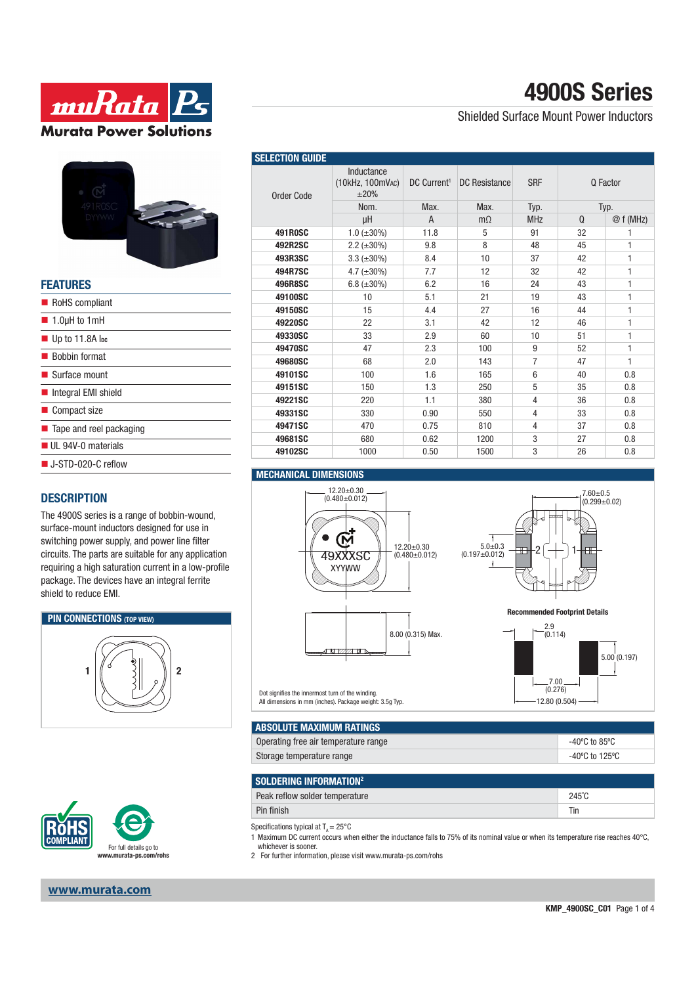



| <b>FEATURES</b>                        |
|----------------------------------------|
| RoHS compliant                         |
| $\blacksquare$ 1.0µH to 1mH            |
| $\blacksquare$ Up to 11.8A lpc         |
| ■ Bobbin format                        |
| $\blacksquare$ Surface mount           |
| Integral EMI shield                    |
| Compact size                           |
| $\blacksquare$ Tape and reel packaging |
| UL 94V-0 materials                     |
| ■ J-STD-020-C reflow                   |

### **DESCRIPTION**

The 4900S series is a range of bobbin-wound, surface-mount inductors designed for use in switching power supply, and power line filter circuits. The parts are suitable for any application requiring a high saturation current in a low-profile package. The devices have an integral ferrite shield to reduce EMI.





#### **www.murata.com**

| <b>4900S Series</b> |  |
|---------------------|--|
|---------------------|--|

Shielded Surface Mount Power Inductors

| <b>SELECTION GUIDE</b> |                                        |                         |                      |                |          |              |
|------------------------|----------------------------------------|-------------------------|----------------------|----------------|----------|--------------|
| Order Code             | Inductance<br>(10kHz, 100mVAC)<br>±20% | DC Current <sup>1</sup> | <b>DC Resistance</b> | <b>SRF</b>     | Q Factor |              |
|                        | Nom.                                   | Max.                    | Max.                 | Typ.           | Typ.     |              |
|                        | μH                                     | A                       | $m\Omega$            | <b>MHz</b>     | Q        | @f(MHz)      |
| <b>491R0SC</b>         | $1.0$ ( $\pm 30\%$ )                   | 11.8                    | 5                    | 91             | 32       | 1            |
| 492R2SC                | $2.2 \ (\pm 30\%)$                     | 9.8                     | 8                    | 48             | 45       | 1            |
| 493R3SC                | $3.3 (\pm 30\%)$                       | 8.4                     | 10                   | 37             | 42       | 1            |
| 494R7SC                | 4.7 $(\pm 30\%)$                       | 7.7                     | 12                   | 32             | 42       | 1            |
| 496R8SC                | 6.8 $(\pm 30\%)$                       | 6.2                     | 16                   | 24             | 43       | 1            |
| 49100SC                | 10                                     | 5.1                     | 21                   | 19             | 43       | 1            |
| 49150SC                | 15                                     | 4.4                     | 27                   | 16             | 44       | 1            |
| 49220SC                | 22                                     | 3.1                     | 42                   | 12             | 46       | 1            |
| 49330SC                | 33                                     | 2.9                     | 60                   | 10             | 51       | 1            |
| 49470SC                | 47                                     | 2.3                     | 100                  | 9              | 52       | $\mathbf{1}$ |
| 49680SC                | 68                                     | 2.0                     | 143                  | $\overline{7}$ | 47       | 1            |
| 49101SC                | 100                                    | 1.6                     | 165                  | 6              | 40       | 0.8          |
| 49151SC                | 150                                    | 1.3                     | 250                  | 5              | 35       | 0.8          |
| 49221SC                | 220                                    | 1.1                     | 380                  | $\overline{4}$ | 36       | 0.8          |
| 49331SC                | 330                                    | 0.90                    | 550                  | $\overline{4}$ | 33       | 0.8          |
| 49471SC                | 470                                    | 0.75                    | 810                  | $\overline{4}$ | 37       | 0.8          |
| 49681SC                | 680                                    | 0.62                    | 1200                 | 3              | 27       | 0.8          |
| 49102SC                | 1000                                   | 0.50                    | 1500                 | 3              | 26       | 0.8          |

#### **MECHANICAL DIMENSIONS**





**Recommended Footprint Details**

12.80 (0.504)



Dot signifies the innermost turn of the winding. All dimensions in mm (inches). Package weight: 3.5g Typ.

| ABSOLUTE MAXIMUM RATINGS             |                |
|--------------------------------------|----------------|
| Operating free air temperature range | -40°C to 85°C  |
| Storage temperature range            | -40°C to 125°C |

| SOLDERING INFORMATION <sup>2</sup> |                 |
|------------------------------------|-----------------|
| Peak reflow solder temperature     | $245^{\circ}$ C |
| Pin finish                         | Tin             |

Specifications typical at  $T_A = 25^{\circ}$ C

1 Maximum DC current occurs when either the inductance falls to 75% of its nominal value or when its temperature rise reaches 40°C, whichever is sooner.

2 For further information, please visit www.murata-ps.com/rohs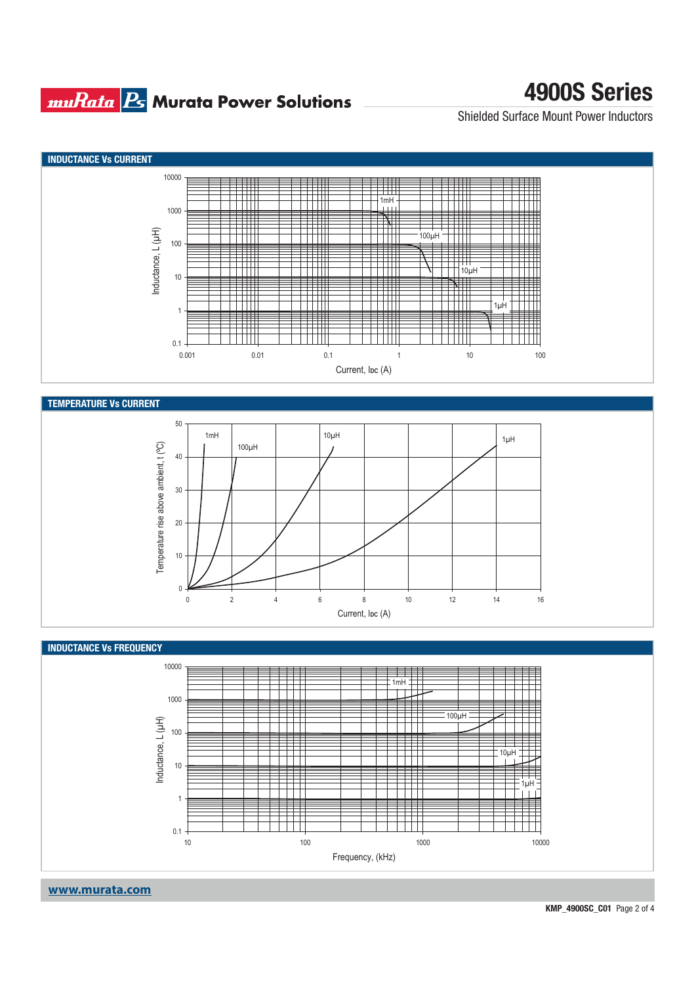### **muRata Ps** Murata Power Solutions

# **4900S Series**

Shielded Surface Mount Power Inductors



**www.murata.com**

**KMP\_4900SC\_C01** Page 2 of 4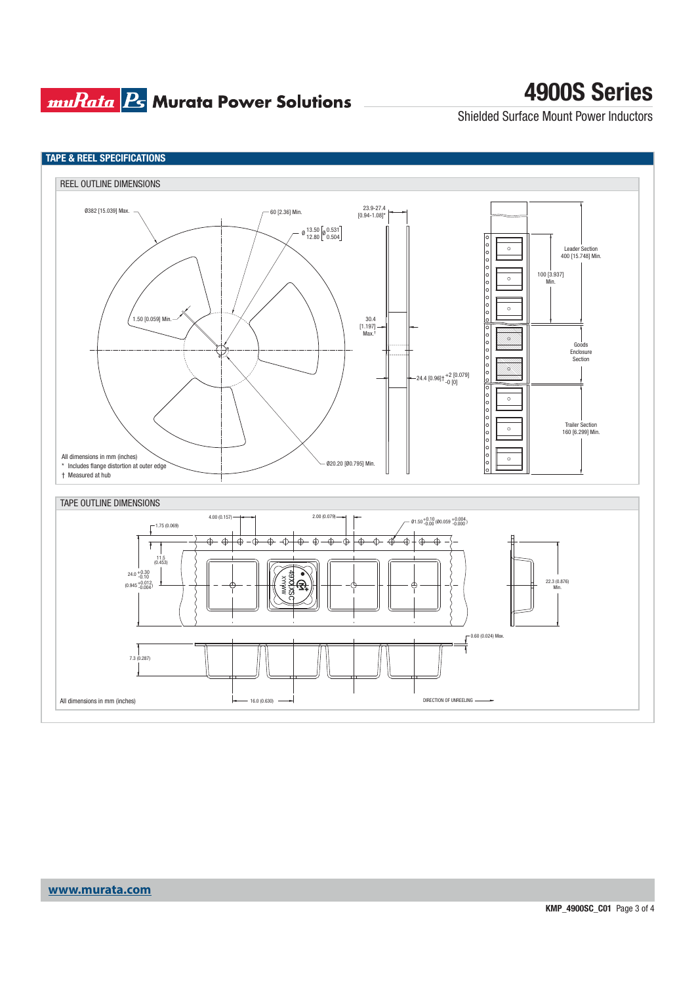## **muRata Ps** Murata Power Solutions

# **4900S Series**

Shielded Surface Mount Power Inductors